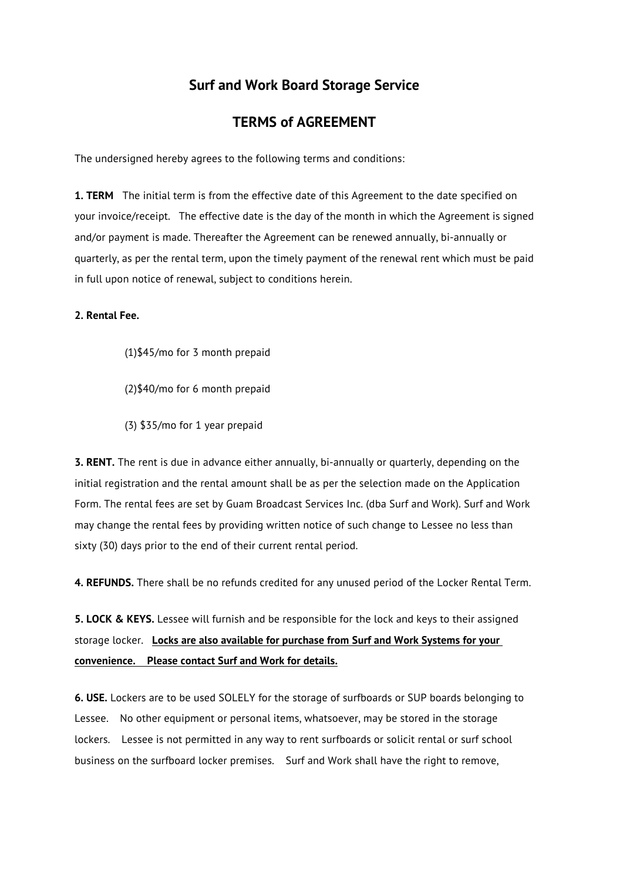## **Surf and Work Board Storage Service**

## **TERMS of AGREEMENT**

The undersigned hereby agrees to the following terms and conditions:

**1. TERM** The initial term is from the effective date of this Agreement to the date specified on your invoice/receipt. The effective date is the day of the month in which the Agreement is signed and/or payment is made. Thereafter the Agreement can be renewed annually, bi-annually or quarterly, as per the rental term, upon the timely payment of the renewal rent which must be paid in full upon notice of renewal, subject to conditions herein.

## **2. Rental Fee.**

- (1)\$45/mo for 3 month prepaid
- (2)\$40/mo for 6 month prepaid
- (3) \$35/mo for 1 year prepaid

**3. RENT.** The rent is due in advance either annually, bi-annually or quarterly, depending on the initial registration and the rental amount shall be as per the selection made on the Application Form. The rental fees are set by Guam Broadcast Services Inc. (dba Surf and Work). Surf and Work may change the rental fees by providing written notice of such change to Lessee no less than sixty (30) days prior to the end of their current rental period.

**4. REFUNDS.** There shall be no refunds credited for any unused period of the Locker Rental Term.

**5. LOCK & KEYS.** Lessee will furnish and be responsible for the lock and keys to their assigned storage locker. **Locks are also available for purchase from Surf and Work Systems for your convenience. Please contact Surf and Work for details.**

**6. USE.** Lockers are to be used SOLELY for the storage of surfboards or SUP boards belonging to Lessee. No other equipment or personal items, whatsoever, may be stored in the storage lockers. Lessee is not permitted in any way to rent surfboards or solicit rental or surf school business on the surfboard locker premises. Surf and Work shall have the right to remove,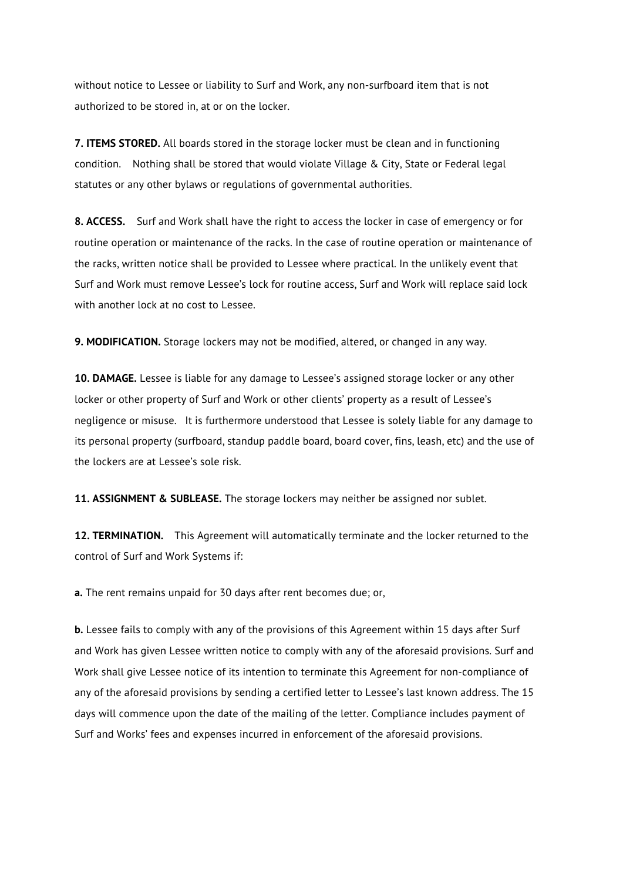without notice to Lessee or liability to Surf and Work, any non-surfboard item that is not authorized to be stored in, at or on the locker.

**7. ITEMS STORED.** All boards stored in the storage locker must be clean and in functioning condition. Nothing shall be stored that would violate Village & City, State or Federal legal statutes or any other bylaws or regulations of governmental authorities.

**8. ACCESS.** Surf and Work shall have the right to access the locker in case of emergency or for routine operation or maintenance of the racks. In the case of routine operation or maintenance of the racks, written notice shall be provided to Lessee where practical. In the unlikely event that Surf and Work must remove Lessee's lock for routine access, Surf and Work will replace said lock with another lock at no cost to Lessee.

**9. MODIFICATION.** Storage lockers may not be modified, altered, or changed in any way.

**10. DAMAGE.** Lessee is liable for any damage to Lessee's assigned storage locker or any other locker or other property of Surf and Work or other clients' property as a result of Lessee's negligence or misuse. It is furthermore understood that Lessee is solely liable for any damage to its personal property (surfboard, standup paddle board, board cover, fins, leash, etc) and the use of the lockers are at Lessee's sole risk.

**11. ASSIGNMENT & SUBLEASE.** The storage lockers may neither be assigned nor sublet.

**12. TERMINATION.** This Agreement will automatically terminate and the locker returned to the control of Surf and Work Systems if:

**a.** The rent remains unpaid for 30 days after rent becomes due; or,

**b.** Lessee fails to comply with any of the provisions of this Agreement within 15 days after Surf and Work has given Lessee written notice to comply with any of the aforesaid provisions. Surf and Work shall give Lessee notice of its intention to terminate this Agreement for non-compliance of any of the aforesaid provisions by sending a certified letter to Lessee's last known address. The 15 days will commence upon the date of the mailing of the letter. Compliance includes payment of Surf and Works' fees and expenses incurred in enforcement of the aforesaid provisions.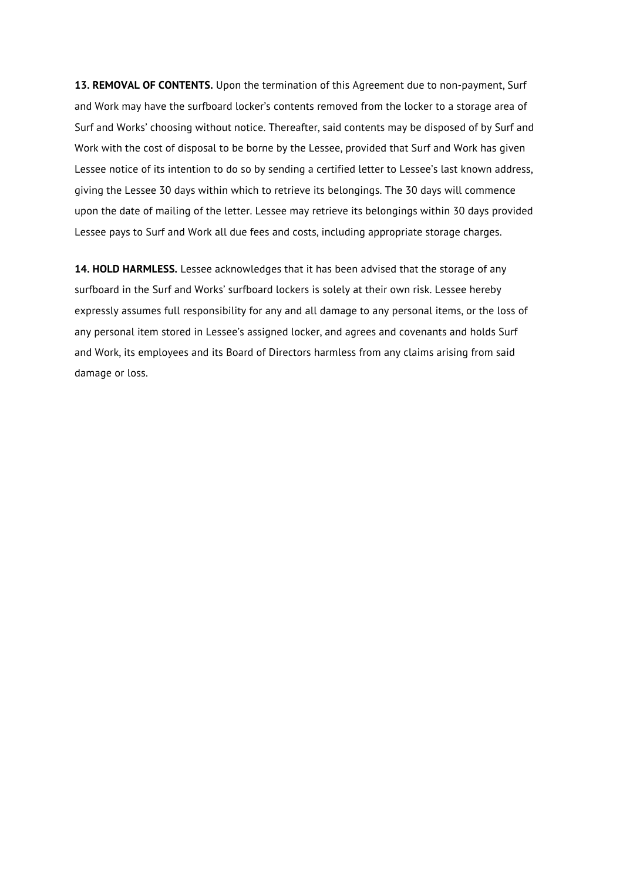**13. REMOVAL OF CONTENTS.** Upon the termination of this Agreement due to non-payment, Surf and Work may have the surfboard locker's contents removed from the locker to a storage area of Surf and Works' choosing without notice. Thereafter, said contents may be disposed of by Surf and Work with the cost of disposal to be borne by the Lessee, provided that Surf and Work has given Lessee notice of its intention to do so by sending a certified letter to Lessee's last known address, giving the Lessee 30 days within which to retrieve its belongings. The 30 days will commence upon the date of mailing of the letter. Lessee may retrieve its belongings within 30 days provided Lessee pays to Surf and Work all due fees and costs, including appropriate storage charges.

**14. HOLD HARMLESS.** Lessee acknowledges that it has been advised that the storage of any surfboard in the Surf and Works' surfboard lockers is solely at their own risk. Lessee hereby expressly assumes full responsibility for any and all damage to any personal items, or the loss of any personal item stored in Lessee's assigned locker, and agrees and covenants and holds Surf and Work, its employees and its Board of Directors harmless from any claims arising from said damage or loss.